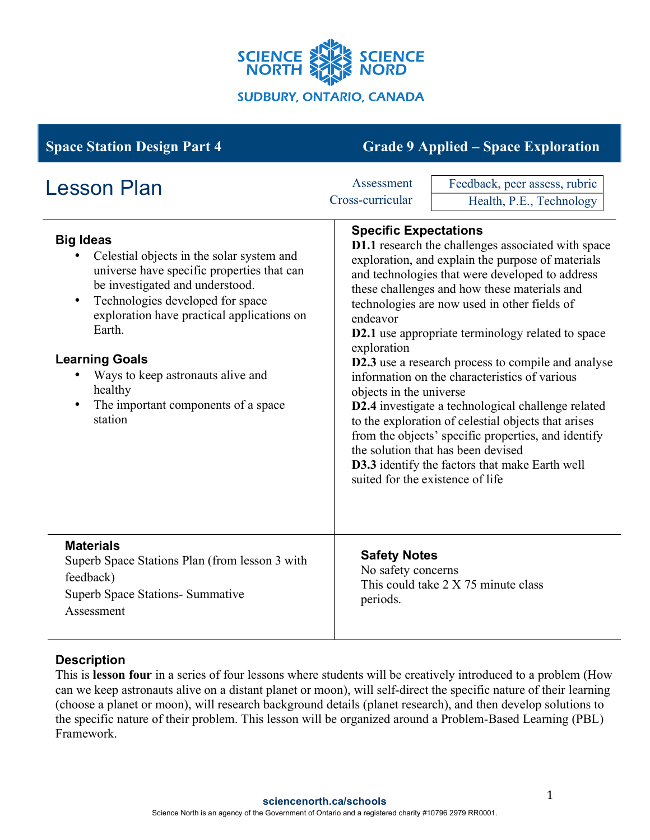

| <b>Space Station Design Part 4</b>                                                                                                                                                                                                                                                                                                                                                 | <b>Grade 9 Applied – Space Exploration</b>                                                                                                                                                                                                                                                                                                                                                                                                                                                                                                                                                                                                                                                                                                                                                                                 |
|------------------------------------------------------------------------------------------------------------------------------------------------------------------------------------------------------------------------------------------------------------------------------------------------------------------------------------------------------------------------------------|----------------------------------------------------------------------------------------------------------------------------------------------------------------------------------------------------------------------------------------------------------------------------------------------------------------------------------------------------------------------------------------------------------------------------------------------------------------------------------------------------------------------------------------------------------------------------------------------------------------------------------------------------------------------------------------------------------------------------------------------------------------------------------------------------------------------------|
| <b>Lesson Plan</b>                                                                                                                                                                                                                                                                                                                                                                 | Assessment<br>Feedback, peer assess, rubric<br>Cross-curricular<br>Health, P.E., Technology                                                                                                                                                                                                                                                                                                                                                                                                                                                                                                                                                                                                                                                                                                                                |
| <b>Big Ideas</b><br>Celestial objects in the solar system and<br>universe have specific properties that can<br>be investigated and understood.<br>Technologies developed for space<br>$\bullet$<br>exploration have practical applications on<br>Earth.<br><b>Learning Goals</b><br>Ways to keep astronauts alive and<br>healthy<br>The important components of a space<br>station | <b>Specific Expectations</b><br><b>D1.1</b> research the challenges associated with space<br>exploration, and explain the purpose of materials<br>and technologies that were developed to address<br>these challenges and how these materials and<br>technologies are now used in other fields of<br>endeavor<br><b>D2.1</b> use appropriate terminology related to space<br>exploration<br>D2.3 use a research process to compile and analyse<br>information on the characteristics of various<br>objects in the universe<br>D2.4 investigate a technological challenge related<br>to the exploration of celestial objects that arises<br>from the objects' specific properties, and identify<br>the solution that has been devised<br>D3.3 identify the factors that make Earth well<br>suited for the existence of life |
| <b>Materials</b><br>Superb Space Stations Plan (from lesson 3 with<br>feedback)<br><b>Superb Space Stations- Summative</b><br>Assessment                                                                                                                                                                                                                                           | <b>Safety Notes</b><br>No safety concerns<br>This could take 2 X 75 minute class<br>periods.                                                                                                                                                                                                                                                                                                                                                                                                                                                                                                                                                                                                                                                                                                                               |

### **Description**

This is **lesson four** in a series of four lessons where students will be creatively introduced to a problem (How can we keep astronauts alive on a distant planet or moon), will self-direct the specific nature of their learning (choose a planet or moon), will research background details (planet research), and then develop solutions to the specific nature of their problem. This lesson will be organized around a Problem-Based Learning (PBL) Framework.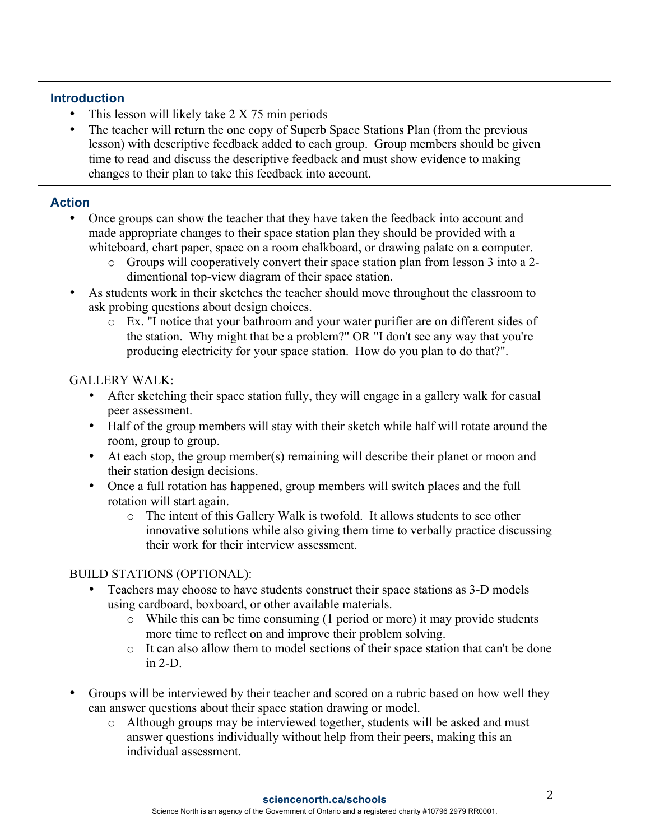## **Introduction**

- This lesson will likely take 2 X 75 min periods
- The teacher will return the one copy of Superb Space Stations Plan (from the previous lesson) with descriptive feedback added to each group. Group members should be given time to read and discuss the descriptive feedback and must show evidence to making changes to their plan to take this feedback into account.

## **Action**

- Once groups can show the teacher that they have taken the feedback into account and made appropriate changes to their space station plan they should be provided with a whiteboard, chart paper, space on a room chalkboard, or drawing palate on a computer.
	- o Groups will cooperatively convert their space station plan from lesson 3 into a 2 dimentional top-view diagram of their space station.
- As students work in their sketches the teacher should move throughout the classroom to ask probing questions about design choices.
	- o Ex. "I notice that your bathroom and your water purifier are on different sides of the station. Why might that be a problem?" OR "I don't see any way that you're producing electricity for your space station. How do you plan to do that?".

### GALLERY WALK:

- After sketching their space station fully, they will engage in a gallery walk for casual peer assessment.
- Half of the group members will stay with their sketch while half will rotate around the room, group to group.
- At each stop, the group member(s) remaining will describe their planet or moon and their station design decisions.
- Once a full rotation has happened, group members will switch places and the full rotation will start again.
	- o The intent of this Gallery Walk is twofold. It allows students to see other innovative solutions while also giving them time to verbally practice discussing their work for their interview assessment.

# BUILD STATIONS (OPTIONAL):

- Teachers may choose to have students construct their space stations as 3-D models using cardboard, boxboard, or other available materials.
	- o While this can be time consuming (1 period or more) it may provide students more time to reflect on and improve their problem solving.
	- o It can also allow them to model sections of their space station that can't be done in 2-D.
- Groups will be interviewed by their teacher and scored on a rubric based on how well they can answer questions about their space station drawing or model.
	- o Although groups may be interviewed together, students will be asked and must answer questions individually without help from their peers, making this an individual assessment.